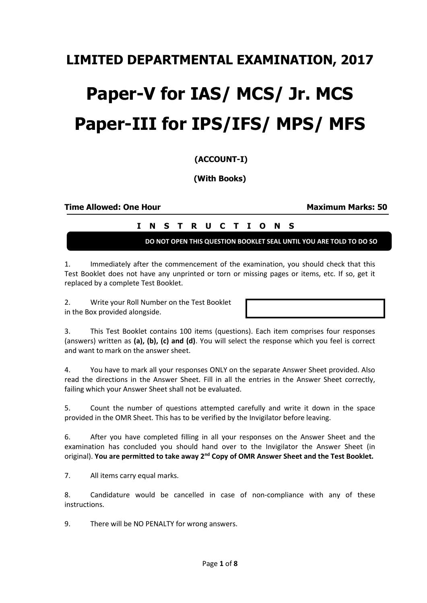## **LIMITED DEPARTMENTAL EXAMINATION, 2017**

# **Paper-V for IAS/ MCS/ Jr. MCS Paper-III for IPS/IFS/ MPS/ MFS**

### **(ACCOUNT-I)**

**(With Books)**

**Time Allowed: One Hour Maximum Marks: 50**

|  |  |  |  |  | I N S T R U C T I O N S |  |
|--|--|--|--|--|-------------------------|--|
|  |  |  |  |  |                         |  |

**DO NOT OPEN THIS QUESTION BOOKLET SEAL UNTIL YOU ARE TOLD TO DO SO**

1. Immediately after the commencement of the examination, you should check that this Test Booklet does not have any unprinted or torn or missing pages or items, etc. If so, get it replaced by a complete Test Booklet.

2. Write your Roll Number on the Test Booklet in the Box provided alongside.

3. This Test Booklet contains 100 items (questions). Each item comprises four responses (answers) written as **(a), (b), (c) and (d)**. You will select the response which you feel is correct and want to mark on the answer sheet.

4. You have to mark all your responses ONLY on the separate Answer Sheet provided. Also read the directions in the Answer Sheet. Fill in all the entries in the Answer Sheet correctly, failing which your Answer Sheet shall not be evaluated.

5. Count the number of questions attempted carefully and write it down in the space provided in the OMR Sheet. This has to be verified by the Invigilator before leaving.

6. After you have completed filling in all your responses on the Answer Sheet and the examination has concluded you should hand over to the Invigilator the Answer Sheet (in original). **You are permitted to take away 2nd Copy of OMR Answer Sheet and the Test Booklet.**

7. All items carry equal marks.

8. Candidature would be cancelled in case of non-compliance with any of these instructions.

9. There will be NO PENALTY for wrong answers.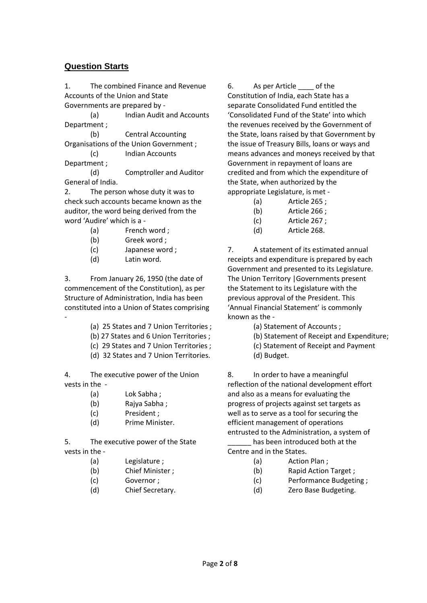#### **Question Starts**

1. The combined Finance and Revenue Accounts of the Union and State Governments are prepared by -

(a) Indian Audit and Accounts Department ;

(b) Central Accounting Organisations of the Union Government ;

(c) Indian Accounts Department ;

(d) Comptroller and Auditor General of India.

2. The person whose duty it was to check such accounts became known as the auditor, the word being derived from the word 'Audire' which is a -

(a) French word ;

- (b) Greek word ;
- (c) Japanese word ;
- (d) Latin word.

-

3. From January 26, 1950 (the date of commencement of the Constitution), as per Structure of Administration, India has been constituted into a Union of States comprising

- (a) 25 States and 7 Union Territories ;
- (b) 27 States and 6 Union Territories ;
- (c) 29 States and 7 Union Territories ;
- (d) 32 States and 7 Union Territories.

4. The executive power of the Union vests in the -

- (a) Lok Sabha ;
- (b) Rajya Sabha ;
- (c) President ;
- (d) Prime Minister.

5. The executive power of the State vests in the -

- (a) Legislature ;
- (b) Chief Minister ;
- (c) Governor ;
- (d) Chief Secretary.

6. As per Article of the Constitution of India, each State has a separate Consolidated Fund entitled the 'Consolidated Fund of the State' into which the revenues received by the Government of the State, loans raised by that Government by the issue of Treasury Bills, loans or ways and means advances and moneys received by that Government in repayment of loans are credited and from which the expenditure of the State, when authorized by the appropriate Legislature, is met -

- (a) Article 265 ;
- (b) Article 266 ;
- (c) Article 267 ;
- (d) Article 268.

7. A statement of its estimated annual receipts and expenditure is prepared by each Government and presented to its Legislature. The Union Territory |Governments present the Statement to its Legislature with the previous approval of the President. This 'Annual Financial Statement' is commonly known as the -

- (a) Statement of Accounts ;
- (b) Statement of Receipt and Expenditure;
- (c) Statement of Receipt and Payment
- (d) Budget.

8. In order to have a meaningful reflection of the national development effort and also as a means for evaluating the progress of projects against set targets as well as to serve as a tool for securing the efficient management of operations entrusted to the Administration, a system of

has been introduced both at the Centre and in the States.

- (a) Action Plan ;
- (b) Rapid Action Target ;
- (c) Performance Budgeting ;
- (d) Zero Base Budgeting.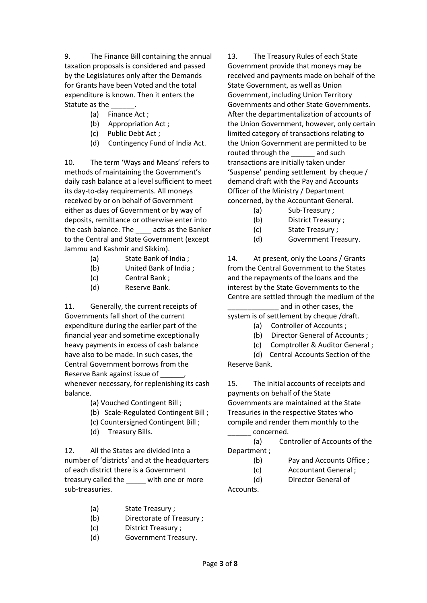9. The Finance Bill containing the annual taxation proposals is considered and passed by the Legislatures only after the Demands for Grants have been Voted and the total expenditure is known. Then it enters the Statute as the

- (a) Finance Act ;
- (b) Appropriation Act ;
- (c) Public Debt Act ;
- (d) Contingency Fund of India Act.

10. The term 'Ways and Means' refers to methods of maintaining the Government's daily cash balance at a level sufficient to meet its day-to-day requirements. All moneys received by or on behalf of Government either as dues of Government or by way of deposits, remittance or otherwise enter into the cash balance. The \_\_\_\_ acts as the Banker to the Central and State Government (except Jammu and Kashmir and Sikkim).

- (a) State Bank of India ;
- (b) United Bank of India ;
- (c) Central Bank ;
- (d) Reserve Bank.

11. Generally, the current receipts of Governments fall short of the current expenditure during the earlier part of the financial year and sometime exceptionally heavy payments in excess of cash balance have also to be made. In such cases, the Central Government borrows from the Reserve Bank against issue of \_\_\_\_\_\_, whenever necessary, for replenishing its cash balance.

- (a) Vouched Contingent Bill ;
- (b) Scale-Regulated Contingent Bill ;
- (c) Countersigned Contingent Bill ;
- (d) Treasury Bills.

12. All the States are divided into a number of 'districts' and at the headquarters of each district there is a Government treasury called the with one or more sub-treasuries.

- (a) State Treasury ;
- (b) Directorate of Treasury ;
- (c) District Treasury ;
- (d) Government Treasury.

13. The Treasury Rules of each State Government provide that moneys may be received and payments made on behalf of the State Government, as well as Union Government, including Union Territory Governments and other State Governments. After the departmentalization of accounts of the Union Government, however, only certain limited category of transactions relating to the Union Government are permitted to be routed through the and such transactions are initially taken under 'Suspense' pending settlement by cheque / demand draft with the Pay and Accounts Officer of the Ministry / Department concerned, by the Accountant General.

- (a) Sub-Treasury ;
- (b) District Treasury ;
- (c) State Treasury ;
- (d) Government Treasury.

14. At present, only the Loans / Grants from the Central Government to the States and the repayments of the loans and the interest by the State Governments to the Centre are settled through the medium of the and in other cases, the

system is of settlement by cheque /draft.

- (a) Controller of Accounts ;
- (b) Director General of Accounts ;
- (c) Comptroller & Auditor General ;

(d) Central Accounts Section of the Reserve Bank.

15. The initial accounts of receipts and payments on behalf of the State Governments are maintained at the State Treasuries in the respective States who compile and render them monthly to the \_\_\_\_\_\_ concerned.

(a) Controller of Accounts of the Department ;

- (b) Pay and Accounts Office ;
- (c) Accountant General ;

Accounts.

(d) Director General of

Page **3** of **8**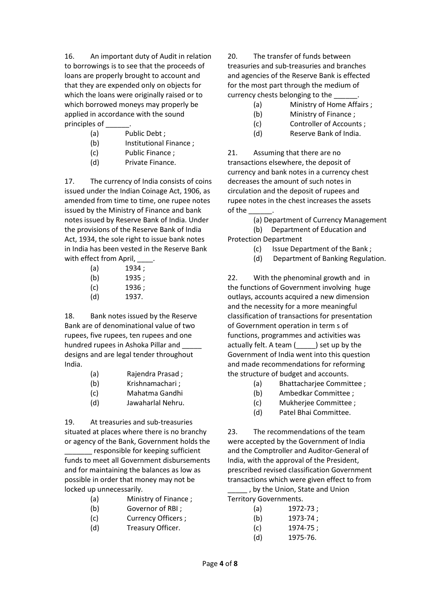16. An important duty of Audit in relation to borrowings is to see that the proceeds of loans are properly brought to account and that they are expended only on objects for which the loans were originally raised or to which borrowed moneys may properly be applied in accordance with the sound principles of

- (a) Public Debt ;
- (b) Institutional Finance ;
- (c) Public Finance ;
- (d) Private Finance.

17. The currency of India consists of coins issued under the Indian Coinage Act, 1906, as amended from time to time, one rupee notes issued by the Ministry of Finance and bank notes issued by Reserve Bank of India. Under the provisions of the Reserve Bank of India Act, 1934, the sole right to issue bank notes in India has been vested in the Reserve Bank with effect from April,

| (a) | 1934 ; |
|-----|--------|
| (b) | 1935 ; |
| (c) | 1936 ; |
| (d) | 1937.  |

18. Bank notes issued by the Reserve Bank are of denominational value of two rupees, five rupees, ten rupees and one hundred rupees in Ashoka Pillar and \_\_\_\_\_ designs and are legal tender throughout India.

- (a) Rajendra Prasad ;
- (b) Krishnamachari ;
- (c) Mahatma Gandhi
- (d) Jawaharlal Nehru.

19. At treasuries and sub-treasuries situated at places where there is no branchy or agency of the Bank, Government holds the

responsible for keeping sufficient funds to meet all Government disbursements and for maintaining the balances as low as possible in order that money may not be locked up unnecessarily.

- (a) Ministry of Finance ;
- (b) Governor of RBI ;
- (c) Currency Officers ;
- (d) Treasury Officer.

20. The transfer of funds between treasuries and sub-treasuries and branches and agencies of the Reserve Bank is effected for the most part through the medium of currency chests belonging to the

- (a) Ministry of Home Affairs ;
- (b) Ministry of Finance ;
- (c) Controller of Accounts ;
- (d) Reserve Bank of India.

21. Assuming that there are no transactions elsewhere, the deposit of currency and bank notes in a currency chest decreases the amount of such notes in circulation and the deposit of rupees and rupee notes in the chest increases the assets of the \_\_\_\_\_\_.

(a) Department of Currency Management

(b) Department of Education and Protection Department

- (c) Issue Department of the Bank ;
- (d) Department of Banking Regulation.

22. With the phenominal growth and in the functions of Government involving huge outlays, accounts acquired a new dimension and the necessity for a more meaningful classification of transactions for presentation of Government operation in term s of functions, programmes and activities was actually felt. A team ( ) set up by the Government of India went into this question and made recommendations for reforming the structure of budget and accounts.

- (a) Bhattacharjee Committee ;
- (b) Ambedkar Committee ;
- (c) Mukherjee Committee ;
- (d) Patel Bhai Committee.

23. The recommendations of the team were accepted by the Government of India and the Comptroller and Auditor-General of India, with the approval of the President, prescribed revised classification Government transactions which were given effect to from \_\_\_\_\_ , by the Union, State and Union

Territory Governments.

- (b) 1973-74 ;
- (c) 1974-75 ;
- (d) 1975-76.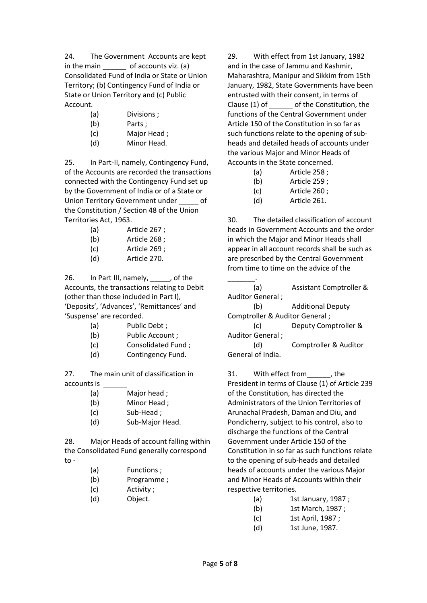24. The Government Accounts are kept in the main  $\qquad \qquad$  of accounts viz. (a) Consolidated Fund of India or State or Union Territory; (b) Contingency Fund of India or State or Union Territory and (c) Public Account.

- (a) Divisions ;
- (b) Parts:
- (c) Major Head ;
- (d) Minor Head.

25. In Part-II, namely, Contingency Fund, of the Accounts are recorded the transactions connected with the Contingency Fund set up by the Government of India or of a State or Union Territory Government under \_\_\_\_\_ of the Constitution / Section 48 of the Union Territories Act, 1963.

- (a) Article 267 ;
- (b) Article 268 ;
- (c) Article 269 ;
- (d) Article 270.

26. In Part III, namely, \_\_\_\_\_, of the Accounts, the transactions relating to Debit (other than those included in Part I), 'Deposits', 'Advances', 'Remittances' and 'Suspense' are recorded.

- (a) Public Debt ;
- (b) Public Account ;
- (c) Consolidated Fund ;
- (d) Contingency Fund.

27. The main unit of classification in accounts is

- (a) Major head ;
- (b) Minor Head ;
- (c) Sub-Head ;
- (d) Sub-Major Head.

28. Major Heads of account falling within the Consolidated Fund generally correspond  $to -$ 

- (a) Functions ;
- (b) Programme ;
- (c) Activity ;
- (d) Object.

29. With effect from 1st January, 1982 and in the case of Jammu and Kashmir, Maharashtra, Manipur and Sikkim from 15th January, 1982, State Governments have been entrusted with their consent, in terms of Clause (1) of \_\_\_\_\_\_ of the Constitution, the functions of the Central Government under Article 150 of the Constitution in so far as such functions relate to the opening of subheads and detailed heads of accounts under the various Major and Minor Heads of Accounts in the State concerned.

| (a) | Article 258; |
|-----|--------------|
| (b) | Article 259; |

- (c) Article 260 ;
- (d) Article 261.

30. The detailed classification of account heads in Government Accounts and the order in which the Major and Minor Heads shall appear in all account records shall be such as are prescribed by the Central Government from time to time on the advice of the

\_\_\_\_\_\_\_. (a) Assistant Comptroller & Auditor General ;

(b) Additional Deputy Comptroller & Auditor General ;

(c) Deputy Comptroller & Auditor General ;

(d) Comptroller & Auditor General of India.

31. With effect from , the President in terms of Clause (1) of Article 239 of the Constitution, has directed the Administrators of the Union Territories of Arunachal Pradesh, Daman and Diu, and Pondicherry, subject to his control, also to discharge the functions of the Central Government under Article 150 of the Constitution in so far as such functions relate to the opening of sub-heads and detailed heads of accounts under the various Major and Minor Heads of Accounts within their respective territories.

- (a) 1st January, 1987 ;
- (b) 1st March, 1987 ;
- (c) 1st April, 1987 ;
- (d) 1st June, 1987.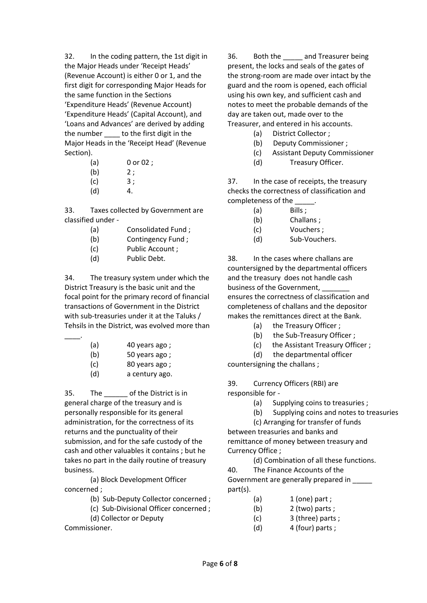32. In the coding pattern, the 1st digit in the Major Heads under 'Receipt Heads' (Revenue Account) is either 0 or 1, and the first digit for corresponding Major Heads for the same function in the Sections 'Expenditure Heads' (Revenue Account) 'Expenditure Heads' (Capital Account), and 'Loans and Advances' are derived by adding the number to the first digit in the Major Heads in the 'Receipt Head' (Revenue Section).

| (a) | $0$ or $02$ ; |
|-----|---------------|
| . . |               |

- $(b)$  2;
- $(c)$  3;
- (d) 4.

33. Taxes collected by Government are classified under -

- (a) Consolidated Fund ;
- (b) Contingency Fund ;
- (c) Public Account ;
- (d) Public Debt.

34. The treasury system under which the District Treasury is the basic unit and the focal point for the primary record of financial transactions of Government in the District with sub-treasuries under it at the Taluks / Tehsils in the District, was evolved more than

- (a) 40 years ago ;
- (b) 50 years ago ;
- (c) 80 years ago ;
- (d) a century ago.

35. The of the District is in general charge of the treasury and is personally responsible for its general administration, for the correctness of its returns and the punctuality of their submission, and for the safe custody of the cash and other valuables it contains ; but he takes no part in the daily routine of treasury business.

(a) Block Development Officer concerned ;

- (b) Sub-Deputy Collector concerned ;
- (c) Sub-Divisional Officer concerned ;
- (d) Collector or Deputy

Commissioner.

\_\_\_\_.

36. Both the \_\_\_\_\_ and Treasurer being present, the locks and seals of the gates of the strong-room are made over intact by the guard and the room is opened, each official using his own key, and sufficient cash and notes to meet the probable demands of the day are taken out, made over to the Treasurer, and entered in his accounts.

- (a) District Collector ;
- (b) Deputy Commissioner ;
- (c) Assistant Deputy Commissioner
- (d) Treasury Officer.

37. In the case of receipts, the treasury checks the correctness of classification and completeness of the \_\_\_\_\_.

- (a) Bills ;
- (b) Challans ;
- (c) Vouchers ;
- (d) Sub-Vouchers.

38. In the cases where challans are countersigned by the departmental officers and the treasury does not handle cash business of the Government, ensures the correctness of classification and completeness of challans and the depositor makes the remittances direct at the Bank.

- (a) the Treasury Officer ;
- (b) the Sub-Treasury Officer ;
- (c) the Assistant Treasury Officer ;

(d) the departmental officer countersigning the challans ;

39. Currency Officers (RBI) are responsible for -

- (a) Supplying coins to treasuries ;
- (b) Supplying coins and notes to treasuries

(c) Arranging for transfer of funds

between treasuries and banks and remittance of money between treasury and Currency Office ;

(d) Combination of all these functions.

40. The Finance Accounts of the Government are generally prepared in \_\_\_\_\_ part(s).

- $(a)$  1 (one) part ;
- (b) 2 (two) parts ;
- (c) 3 (three) parts ;
- (d)  $4$  (four) parts ;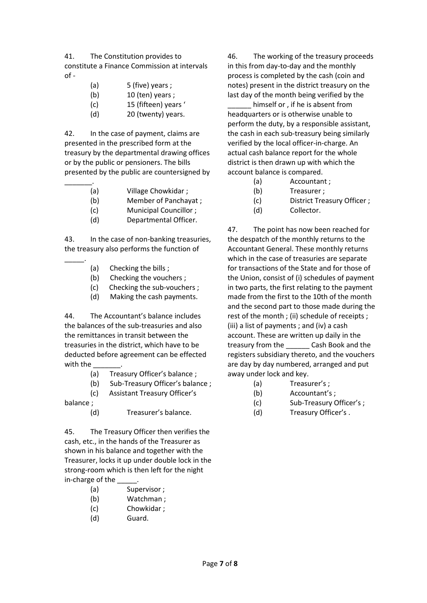41. The Constitution provides to constitute a Finance Commission at intervals  $of -$ 

- (a) 5 (five) years ;
- (b) 10 (ten) years ;
- (c) 15 (fifteen) years '
- (d) 20 (twenty) years.

42. In the case of payment, claims are presented in the prescribed form at the treasury by the departmental drawing offices or by the public or pensioners. The bills presented by the public are countersigned by

- \_\_\_\_\_\_\_. (a) Village Chowkidar ;
	- (b) Member of Panchayat ;
	- (c) Municipal Councillor ;
	- (d) Departmental Officer.

43. In the case of non-banking treasuries, the treasury also performs the function of

- (a) Checking the bills ;
- (b) Checking the vouchers ;
- (c) Checking the sub-vouchers ;
- (d) Making the cash payments.

44. The Accountant's balance includes the balances of the sub-treasuries and also the remittances in transit between the treasuries in the district, which have to be deducted before agreement can be effected with the

- (a) Treasury Officer's balance ;
- (b) Sub-Treasury Officer's balance ;
- (c) Assistant Treasury Officer's

balance ;

\_\_\_\_\_.

(d) Treasurer's balance.

45. The Treasury Officer then verifies the cash, etc., in the hands of the Treasurer as shown in his balance and together with the Treasurer, locks it up under double lock in the strong-room which is then left for the night in-charge of the

- (a) Supervisor ;
- (b) Watchman ;
- (c) Chowkidar ;
- (d) Guard.

46. The working of the treasury proceeds in this from day-to-day and the monthly process is completed by the cash (coin and notes) present in the district treasury on the last day of the month being verified by the

himself or, if he is absent from headquarters or is otherwise unable to perform the duty, by a responsible assistant, the cash in each sub-treasury being similarly verified by the local officer-in-charge. An actual cash balance report for the whole district is then drawn up with which the account balance is compared.

- (a) Accountant ;
- (b) Treasurer ;
- (c) District Treasury Officer ;
- (d) Collector.

47. The point has now been reached for the despatch of the monthly returns to the Accountant General. These monthly returns which in the case of treasuries are separate for transactions of the State and for those of the Union, consist of (i) schedules of payment in two parts, the first relating to the payment made from the first to the 10th of the month and the second part to those made during the rest of the month ; (ii) schedule of receipts ; (iii) a list of payments ; and (iv) a cash account. These are written up daily in the treasury from the **Cash Book and the** registers subsidiary thereto, and the vouchers are day by day numbered, arranged and put away under lock and key.

- (a) Treasurer's ;
- (b) Accountant's ;
- (c) Sub-Treasury Officer's ;
- (d) Treasury Officer's .